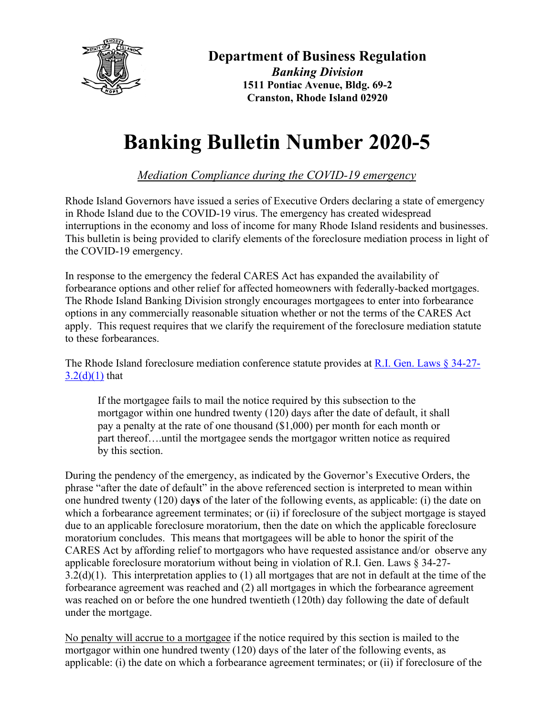

## **Department of Business Regulation**

*Banking Division* **1511 Pontiac Avenue, Bldg. 69-2 Cranston, Rhode Island 02920**

## **Banking Bulletin Number 2020-5**

*Mediation Compliance during the COVID-19 emergency*

Rhode Island Governors have issued a series of Executive Orders declaring a state of emergency in Rhode Island due to the COVID-19 virus. The emergency has created widespread interruptions in the economy and loss of income for many Rhode Island residents and businesses. This bulletin is being provided to clarify elements of the foreclosure mediation process in light of the COVID-19 emergency.

In response to the emergency the federal CARES Act has expanded the availability of forbearance options and other relief for affected homeowners with federally-backed mortgages. The Rhode Island Banking Division strongly encourages mortgagees to enter into forbearance options in any commercially reasonable situation whether or not the terms of the CARES Act apply. This request requires that we clarify the requirement of the foreclosure mediation statute to these forbearances.

The Rhode Island foreclosure mediation conference statute provides at [R.I. Gen. Laws § 34-27-](http://webserver.rilin.state.ri.us/Statutes/TITLE34/34-27/34-27-3.2.HTM)  $3.2(d)(1)$  that

If the mortgagee fails to mail the notice required by this subsection to the mortgagor within one hundred twenty (120) days after the date of default, it shall pay a penalty at the rate of one thousand (\$1,000) per month for each month or part thereof….until the mortgagee sends the mortgagor written notice as required by this section.

During the pendency of the emergency, as indicated by the Governor's Executive Orders, the phrase "after the date of default" in the above referenced section is interpreted to mean within one hundred twenty (120) da**ys** of the later of the following events, as applicable: (i) the date on which a forbearance agreement terminates; or (ii) if foreclosure of the subject mortgage is stayed due to an applicable foreclosure moratorium, then the date on which the applicable foreclosure moratorium concludes. This means that mortgagees will be able to honor the spirit of the CARES Act by affording relief to mortgagors who have requested assistance and/or observe any applicable foreclosure moratorium without being in violation of R.I. Gen. Laws § 34-27- 3.2(d)(1). This interpretation applies to (1) all mortgages that are not in default at the time of the forbearance agreement was reached and (2) all mortgages in which the forbearance agreement was reached on or before the one hundred twentieth (120th) day following the date of default under the mortgage.

No penalty will accrue to a mortgagee if the notice required by this section is mailed to the mortgagor within one hundred twenty (120) days of the later of the following events, as applicable: (i) the date on which a forbearance agreement terminates; or (ii) if foreclosure of the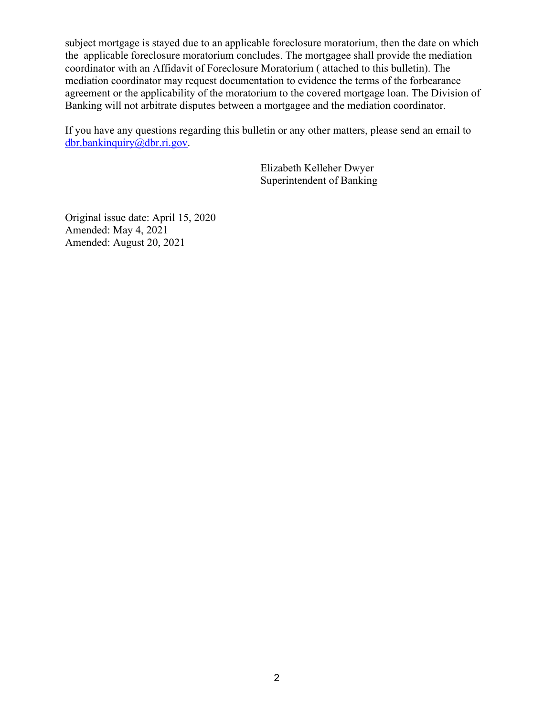subject mortgage is stayed due to an applicable foreclosure moratorium, then the date on which the applicable foreclosure moratorium concludes. The mortgagee shall provide the mediation coordinator with an Affidavit of Foreclosure Moratorium ( attached to this bulletin). The mediation coordinator may request documentation to evidence the terms of the forbearance agreement or the applicability of the moratorium to the covered mortgage loan. The Division of Banking will not arbitrate disputes between a mortgagee and the mediation coordinator.

If you have any questions regarding this bulletin or any other matters, please send an email to [dbr.bankinquiry@dbr.ri.gov.](mailto:dbr.insurance@dbr.ri.gov)

> Elizabeth Kelleher Dwyer Superintendent of Banking

Original issue date: April 15, 2020 Amended: May 4, 2021 Amended: August 20, 2021